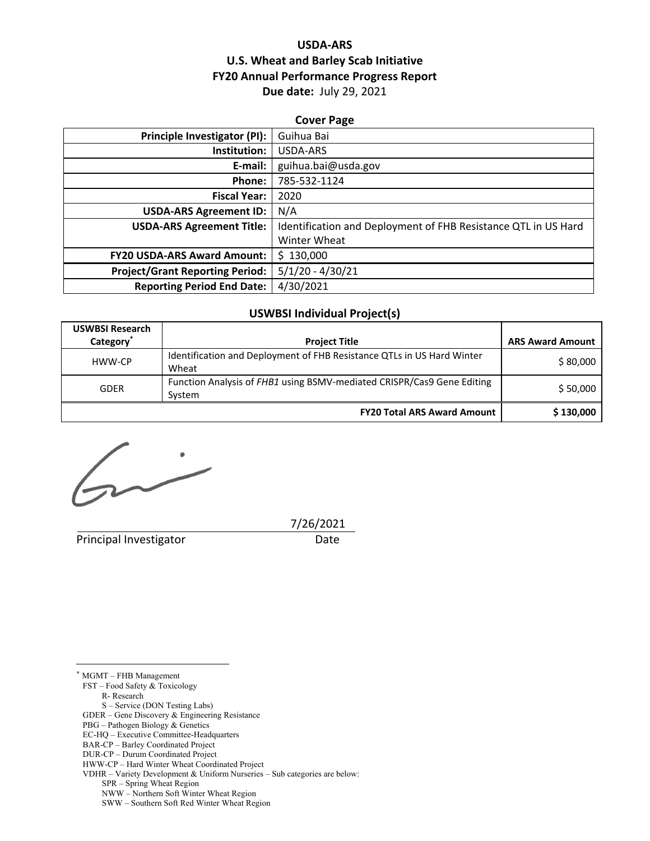# **USDA‐ARS U.S. Wheat and Barley Scab Initiative FY20 Annual Performance Progress Report Due date:** July 29, 2021

#### **Cover Page**

| Principle Investigator (PI):           | Guihua Bai                                                     |
|----------------------------------------|----------------------------------------------------------------|
| Institution:                           | USDA-ARS                                                       |
| E-mail:                                | guihua.bai@usda.gov                                            |
| Phone:                                 | 785-532-1124                                                   |
| <b>Fiscal Year:</b>                    | 2020                                                           |
| <b>USDA-ARS Agreement ID:</b>          | N/A                                                            |
| <b>USDA-ARS Agreement Title:</b>       | Identification and Deployment of FHB Resistance QTL in US Hard |
|                                        | Winter Wheat                                                   |
| <b>FY20 USDA-ARS Award Amount:</b>     | \$130,000                                                      |
| <b>Project/Grant Reporting Period:</b> | $5/1/20 - 4/30/21$                                             |
| <b>Reporting Period End Date:</b>      | 4/30/2021                                                      |

# **USWBSI Individual Project(s)**

| <b>USWBSI Research</b> |                                                                        |                         |  |
|------------------------|------------------------------------------------------------------------|-------------------------|--|
| Category <sup>*</sup>  | <b>Project Title</b>                                                   | <b>ARS Award Amount</b> |  |
| HWW-CP                 | Identification and Deployment of FHB Resistance QTLs in US Hard Winter | \$80,000                |  |
|                        | Wheat                                                                  |                         |  |
| <b>GDER</b>            | Function Analysis of FHB1 using BSMV-mediated CRISPR/Cas9 Gene Editing | \$50,000                |  |
|                        | System                                                                 |                         |  |
|                        | <b>FY20 Total ARS Award Amount</b>                                     | \$130,000               |  |

 $\sim$ 

Principal Investigator **Date** 

7/26/2021

\* MGMT – FHB Management

 $\overline{a}$ 

FST – Food Safety & Toxicology

R- Research

S – Service (DON Testing Labs)

GDER – Gene Discovery & Engineering Resistance

PBG – Pathogen Biology & Genetics

EC-HQ – Executive Committee-Headquarters

BAR-CP – Barley Coordinated Project DUR-CP – Durum Coordinated Project

HWW-CP – Hard Winter Wheat Coordinated Project

VDHR – Variety Development & Uniform Nurseries – Sub categories are below:

SPR – Spring Wheat Region

NWW – Northern Soft Winter Wheat Region

SWW – Southern Soft Red Winter Wheat Region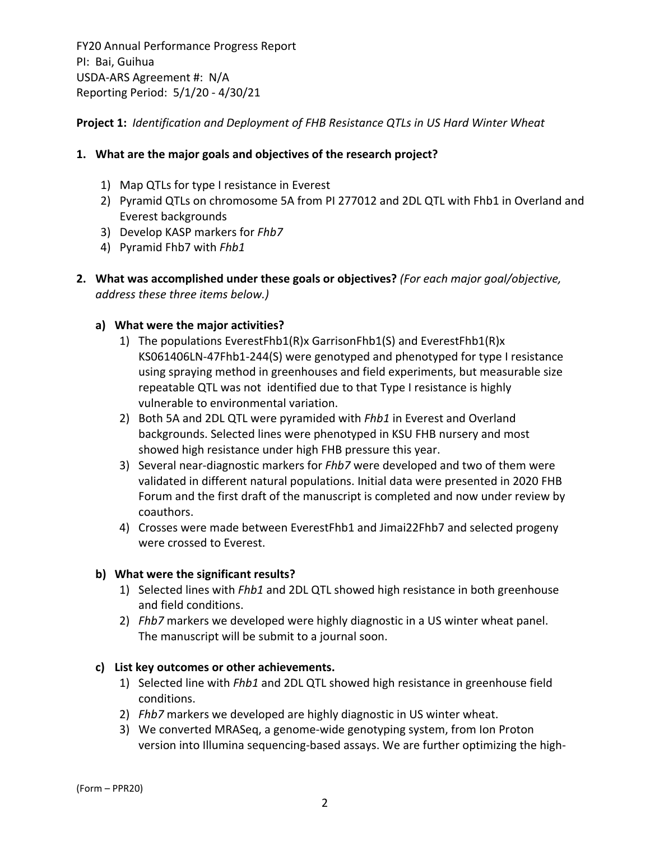**Project 1:** *Identification and Deployment of FHB Resistance QTLs in US Hard Winter Wheat*

# **1. What are the major goals and objectives of the research project?**

- 1) Map QTLs for type I resistance in Everest
- 2) Pyramid QTLs on chromosome 5A from PI 277012 and 2DL QTL with Fhb1 in Overland and Everest backgrounds
- 3) Develop KASP markers for *Fhb7*
- 4) Pyramid Fhb7 with *Fhb1*
- **2. What was accomplished under these goals or objectives?** *(For each major goal/objective, address these three items below.)*

# **a) What were the major activities?**

- 1) The populations EverestFhb1(R)x GarrisonFhb1(S) and EverestFhb1(R)x KS061406LN‐47Fhb1‐244(S) were genotyped and phenotyped for type I resistance using spraying method in greenhouses and field experiments, but measurable size repeatable QTL was not identified due to that Type I resistance is highly vulnerable to environmental variation.
- 2) Both 5A and 2DL QTL were pyramided with *Fhb1* in Everest and Overland backgrounds. Selected lines were phenotyped in KSU FHB nursery and most showed high resistance under high FHB pressure this year.
- 3) Several near‐diagnostic markers for *Fhb7* were developed and two of them were validated in different natural populations. Initial data were presented in 2020 FHB Forum and the first draft of the manuscript is completed and now under review by coauthors.
- 4) Crosses were made between EverestFhb1 and Jimai22Fhb7 and selected progeny were crossed to Everest.

# **b) What were the significant results?**

- 1) Selected lines with *Fhb1* and 2DL QTL showed high resistance in both greenhouse and field conditions.
- 2) *Fhb7* markers we developed were highly diagnostic in a US winter wheat panel. The manuscript will be submit to a journal soon.

# **c) List key outcomes or other achievements.**

- 1) Selected line with *Fhb1* and 2DL QTL showed high resistance in greenhouse field conditions.
- 2) *Fhb7* markers we developed are highly diagnostic in US winter wheat.
- 3) We converted MRASeq, a genome‐wide genotyping system, from Ion Proton version into Illumina sequencing‐based assays. We are further optimizing the high‐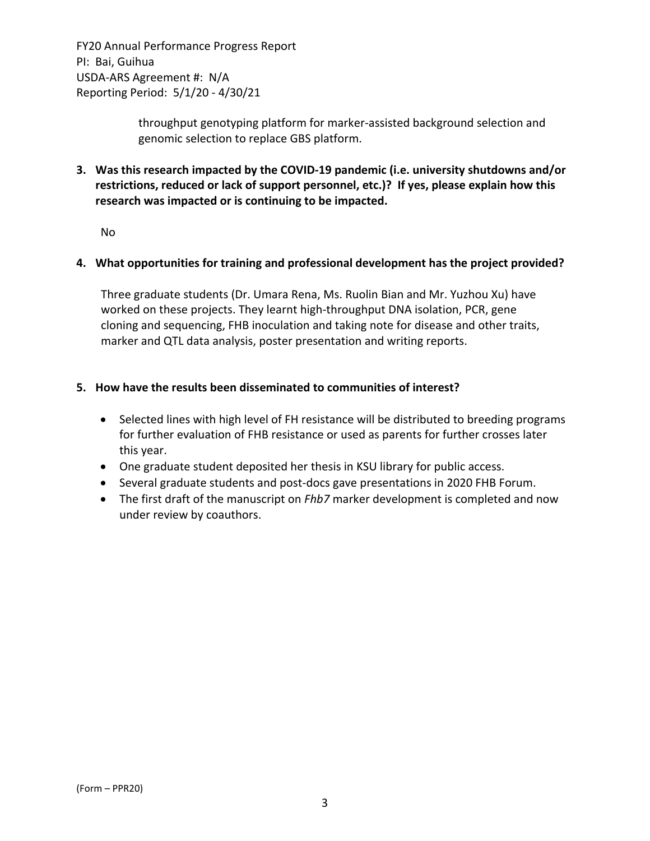> throughput genotyping platform for marker‐assisted background selection and genomic selection to replace GBS platform.

**3. Was this research impacted by the COVID‐19 pandemic (i.e. university shutdowns and/or restrictions, reduced or lack of support personnel, etc.)? If yes, please explain how this research was impacted or is continuing to be impacted.**

No

# **4. What opportunities for training and professional development has the project provided?**

Three graduate students (Dr. Umara Rena, Ms. Ruolin Bian and Mr. Yuzhou Xu) have worked on these projects. They learnt high-throughput DNA isolation, PCR, gene cloning and sequencing, FHB inoculation and taking note for disease and other traits, marker and QTL data analysis, poster presentation and writing reports.

### **5. How have the results been disseminated to communities of interest?**

- Selected lines with high level of FH resistance will be distributed to breeding programs for further evaluation of FHB resistance or used as parents for further crosses later this year.
- One graduate student deposited her thesis in KSU library for public access.
- Several graduate students and post-docs gave presentations in 2020 FHB Forum.
- The first draft of the manuscript on *Fhb7* marker development is completed and now under review by coauthors.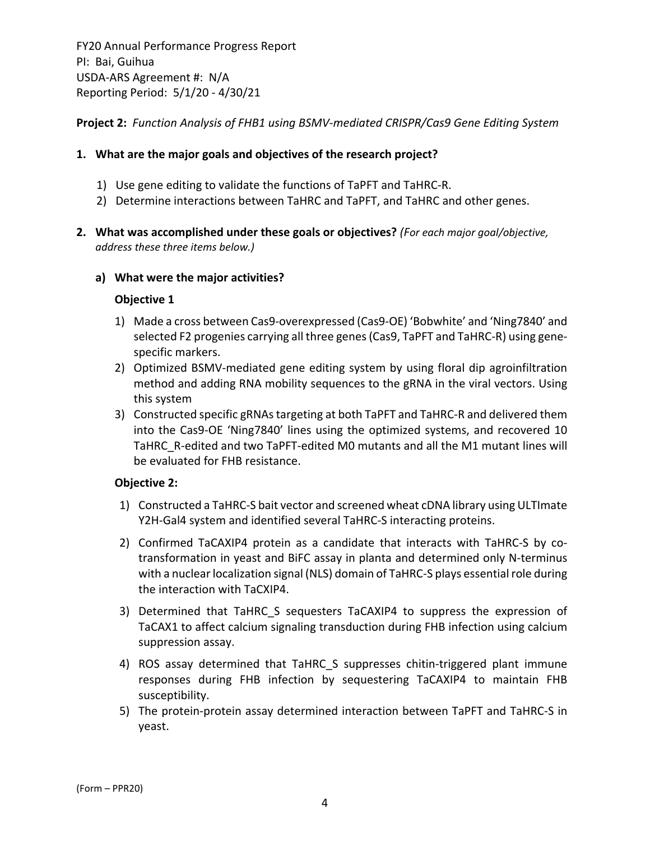**Project 2:** *Function Analysis of FHB1 using BSMV‐mediated CRISPR/Cas9 Gene Editing System*

## **1. What are the major goals and objectives of the research project?**

- 1) Use gene editing to validate the functions of TaPFT and TaHRC‐R.
- 2) Determine interactions between TaHRC and TaPFT, and TaHRC and other genes.
- **2. What was accomplished under these goals or objectives?** *(For each major goal/objective, address these three items below.)*

### **a) What were the major activities?**

### **Objective 1**

- 1) Made a cross between Cas9‐overexpressed (Cas9‐OE) 'Bobwhite' and 'Ning7840' and selected F2 progenies carrying all three genes(Cas9, TaPFT and TaHRC‐R) using gene‐ specific markers.
- 2) Optimized BSMV‐mediated gene editing system by using floral dip agroinfiltration method and adding RNA mobility sequences to the gRNA in the viral vectors. Using this system
- 3) Constructed specific gRNAs targeting at both TaPFT and TaHRC-R and delivered them into the Cas9‐OE 'Ning7840' lines using the optimized systems, and recovered 10 TaHRC\_R-edited and two TaPFT-edited M0 mutants and all the M1 mutant lines will be evaluated for FHB resistance.

### **Objective 2:**

- 1) Constructed a TaHRC‐S bait vector and screened wheat cDNA library using ULTImate Y2H-Gal4 system and identified several TaHRC-S interacting proteins.
- 2) Confirmed TaCAXIP4 protein as a candidate that interacts with TaHRC-S by cotransformation in yeast and BiFC assay in planta and determined only N‐terminus with a nuclear localization signal (NLS) domain of TaHRC-S plays essential role during the interaction with TaCXIP4.
- 3) Determined that TaHRC\_S sequesters TaCAXIP4 to suppress the expression of TaCAX1 to affect calcium signaling transduction during FHB infection using calcium suppression assay.
- 4) ROS assay determined that TaHRC S suppresses chitin-triggered plant immune responses during FHB infection by sequestering TaCAXIP4 to maintain FHB susceptibility.
- 5) The protein‐protein assay determined interaction between TaPFT and TaHRC‐S in yeast.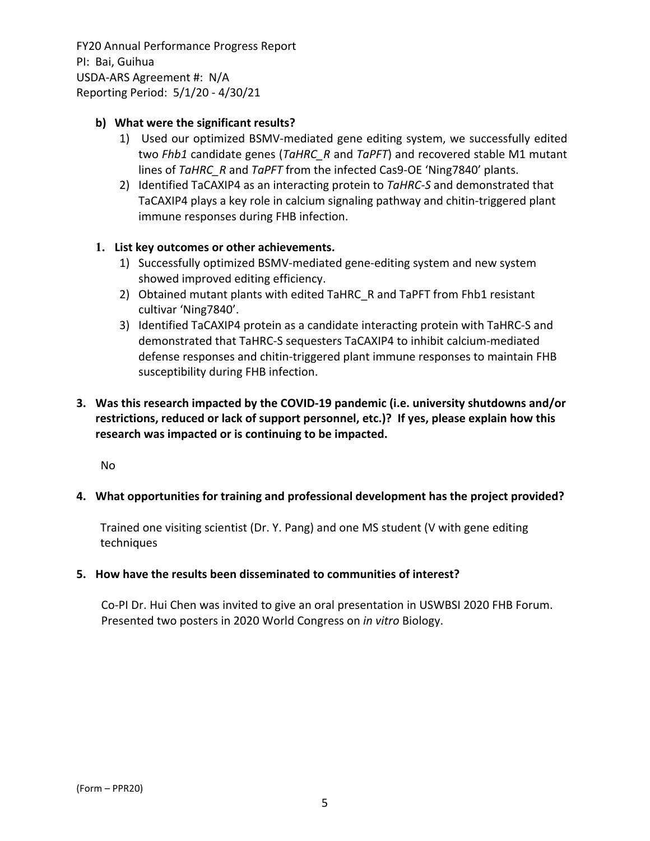# **b) What were the significant results?**

- 1) Used our optimized BSMV‐mediated gene editing system, we successfully edited two *Fhb1* candidate genes (*TaHRC\_R* and *TaPFT*) and recovered stable M1 mutant lines of *TaHRC\_R* and *TaPFT* from the infected Cas9‐OE 'Ning7840' plants.
- 2) Identified TaCAXIP4 as an interacting protein to *TaHRC‐S* and demonstrated that TaCAXIP4 plays a key role in calcium signaling pathway and chitin‐triggered plant immune responses during FHB infection.

# **1. List key outcomes or other achievements.**

- 1) Successfully optimized BSMV‐mediated gene‐editing system and new system showed improved editing efficiency.
- 2) Obtained mutant plants with edited TaHRC\_R and TaPFT from Fhb1 resistant cultivar 'Ning7840'.
- 3) Identified TaCAXIP4 protein as a candidate interacting protein with TaHRC‐S and demonstrated that TaHRC‐S sequesters TaCAXIP4 to inhibit calcium‐mediated defense responses and chitin‐triggered plant immune responses to maintain FHB susceptibility during FHB infection.

# **3. Was this research impacted by the COVID‐19 pandemic (i.e. university shutdowns and/or restrictions, reduced or lack of support personnel, etc.)? If yes, please explain how this research was impacted or is continuing to be impacted.**

No

### **4. What opportunities for training and professional development has the project provided?**

Trained one visiting scientist (Dr. Y. Pang) and one MS student (V with gene editing techniques

### **5. How have the results been disseminated to communities of interest?**

Co‐PI Dr. Hui Chen was invited to give an oral presentation in USWBSI 2020 FHB Forum. Presented two posters in 2020 World Congress on *in vitro* Biology.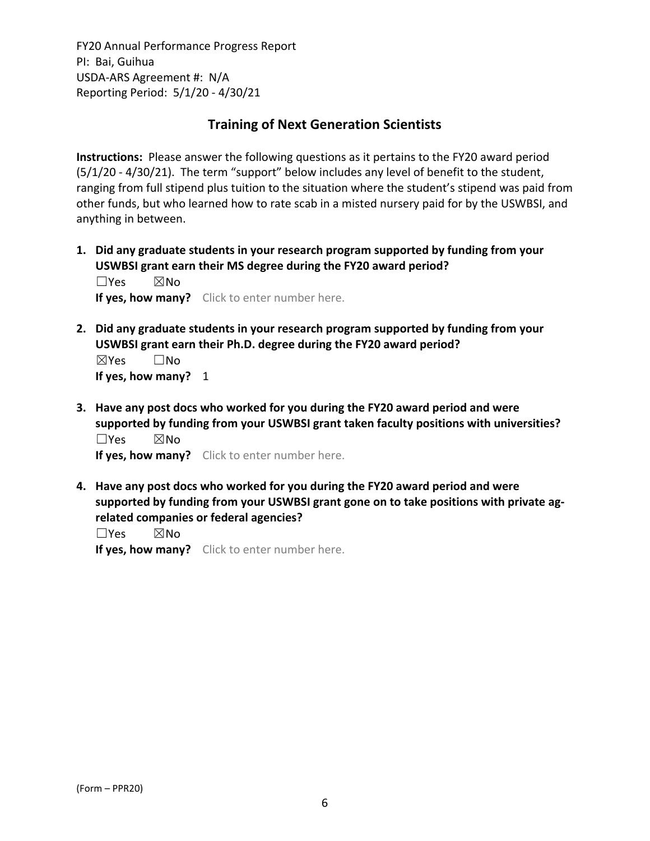# **Training of Next Generation Scientists**

**Instructions:** Please answer the following questions as it pertains to the FY20 award period (5/1/20 ‐ 4/30/21). The term "support" below includes any level of benefit to the student, ranging from full stipend plus tuition to the situation where the student's stipend was paid from other funds, but who learned how to rate scab in a misted nursery paid for by the USWBSI, and anything in between.

**1. Did any graduate students in your research program supported by funding from your USWBSI grant earn their MS degree during the FY20 award period?** ☐Yes ☒No

**If yes, how many?** Click to enter number here.

**2. Did any graduate students in your research program supported by funding from your USWBSI grant earn their Ph.D. degree during the FY20 award period?** ☒Yes ☐No

**If yes, how many?** 1

**3. Have any post docs who worked for you during the FY20 award period and were supported by funding from your USWBSI grant taken faculty positions with universities?** ☐Yes ☒No

**If yes, how many?** Click to enter number here.

**4. Have any post docs who worked for you during the FY20 award period and were supported by funding from your USWBSI grant gone on to take positions with private ag‐ related companies or federal agencies?**

☐Yes ☒No

**If yes, how many?** Click to enter number here.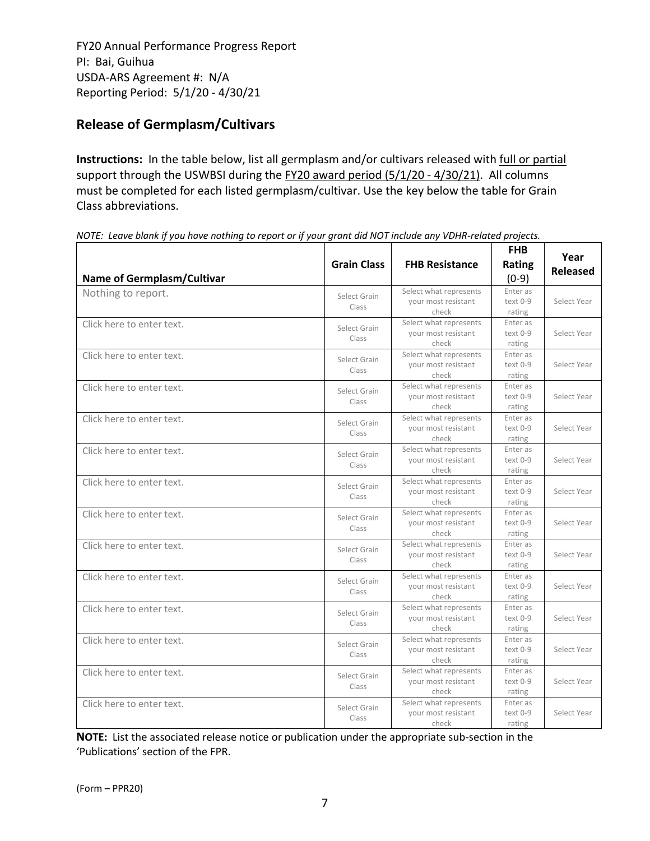# **Release of Germplasm/Cultivars**

**Instructions:** In the table below, list all germplasm and/or cultivars released with full or partial support through the USWBSI during the FY20 award period (5/1/20 - 4/30/21). All columns must be completed for each listed germplasm/cultivar. Use the key below the table for Grain Class abbreviations. 

| <b>Name of Germplasm/Cultivar</b> | <b>Grain Class</b>    | <b>FHB Resistance</b>                                  | <b>FHB</b><br><b>Rating</b><br>$(0-9)$ | Year<br><b>Released</b> |
|-----------------------------------|-----------------------|--------------------------------------------------------|----------------------------------------|-------------------------|
| Nothing to report.                | Select Grain<br>Class | Select what represents<br>your most resistant<br>check | Enter as<br>text 0-9<br>rating         | Select Year             |
| Click here to enter text.         | Select Grain<br>Class | Select what represents<br>your most resistant<br>check | Enter as<br>text 0-9<br>rating         | Select Year             |
| Click here to enter text.         | Select Grain<br>Class | Select what represents<br>your most resistant<br>check | Enter as<br>text 0-9<br>rating         | Select Year             |
| Click here to enter text.         | Select Grain<br>Class | Select what represents<br>your most resistant<br>check | Enter as<br>text 0-9<br>rating         | Select Year             |
| Click here to enter text.         | Select Grain<br>Class | Select what represents<br>your most resistant<br>check | Enter as<br>text 0-9<br>rating         | Select Year             |
| Click here to enter text.         | Select Grain<br>Class | Select what represents<br>your most resistant<br>check | Enter as<br>text 0-9<br>rating         | Select Year             |
| Click here to enter text.         | Select Grain<br>Class | Select what represents<br>your most resistant<br>check | Enter as<br>text 0-9<br>rating         | Select Year             |
| Click here to enter text.         | Select Grain<br>Class | Select what represents<br>your most resistant<br>check | Enter as<br>text 0-9<br>rating         | Select Year             |
| Click here to enter text.         | Select Grain<br>Class | Select what represents<br>your most resistant<br>check | Enter as<br>text 0-9<br>rating         | Select Year             |
| Click here to enter text.         | Select Grain<br>Class | Select what represents<br>your most resistant<br>check | Enter as<br>text 0-9<br>rating         | Select Year             |
| Click here to enter text.         | Select Grain<br>Class | Select what represents<br>your most resistant<br>check | Enter as<br>text 0-9<br>rating         | Select Year             |
| Click here to enter text.         | Select Grain<br>Class | Select what represents<br>your most resistant<br>check | Enter as<br>text 0-9<br>rating         | Select Year             |
| Click here to enter text.         | Select Grain<br>Class | Select what represents<br>your most resistant<br>check | Enter as<br>text 0-9<br>rating         | Select Year             |
| Click here to enter text.         | Select Grain<br>Class | Select what represents<br>your most resistant<br>check | Enter as<br>text 0-9<br>rating         | Select Year             |

NOTE: Leave blank if you have nothing to report or if your grant did NOT include any VDHR-related projects.

**NOTE:** List the associated release notice or publication under the appropriate sub-section in the 'Publications' section of the FPR.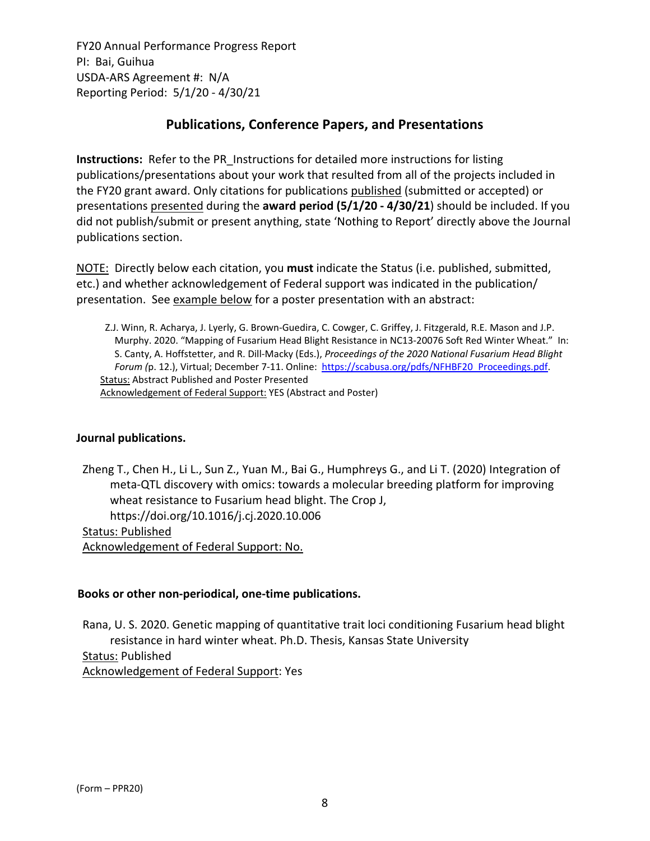# **Publications, Conference Papers, and Presentations**

**Instructions:** Refer to the PR\_Instructions for detailed more instructions for listing publications/presentations about your work that resulted from all of the projects included in the FY20 grant award. Only citations for publications published (submitted or accepted) or presentations presented during the **award period (5/1/20 ‐ 4/30/21**) should be included. If you did not publish/submit or present anything, state 'Nothing to Report' directly above the Journal publications section.

NOTE: Directly below each citation, you **must** indicate the Status (i.e. published, submitted, etc.) and whether acknowledgement of Federal support was indicated in the publication/ presentation. See example below for a poster presentation with an abstract:

Z.J. Winn, R. Acharya, J. Lyerly, G. Brown‐Guedira, C. Cowger, C. Griffey, J. Fitzgerald, R.E. Mason and J.P. Murphy. 2020. "Mapping of Fusarium Head Blight Resistance in NC13‐20076 Soft Red Winter Wheat." In: S. Canty, A. Hoffstetter, and R. Dill‐Macky (Eds.), *Proceedings of the 2020 National Fusarium Head Blight Forum (*p. 12.), Virtual; December 7‐11. Online: https://scabusa.org/pdfs/NFHBF20\_Proceedings.pdf. Status: Abstract Published and Poster Presented Acknowledgement of Federal Support: YES (Abstract and Poster)

### **Journal publications.**

Zheng T., Chen H., Li L., Sun Z., Yuan M., Bai G., Humphreys G., and Li T. (2020) Integration of meta‐QTL discovery with omics: towards a molecular breeding platform for improving wheat resistance to Fusarium head blight. The Crop J, https://doi.org/10.1016/j.cj.2020.10.006 Status: Published

Acknowledgement of Federal Support: No.

### **Books or other non‐periodical, one‐time publications.**

Rana, U. S. 2020. Genetic mapping of quantitative trait loci conditioning Fusarium head blight resistance in hard winter wheat. Ph.D. Thesis, Kansas State University Status: Published Acknowledgement of Federal Support: Yes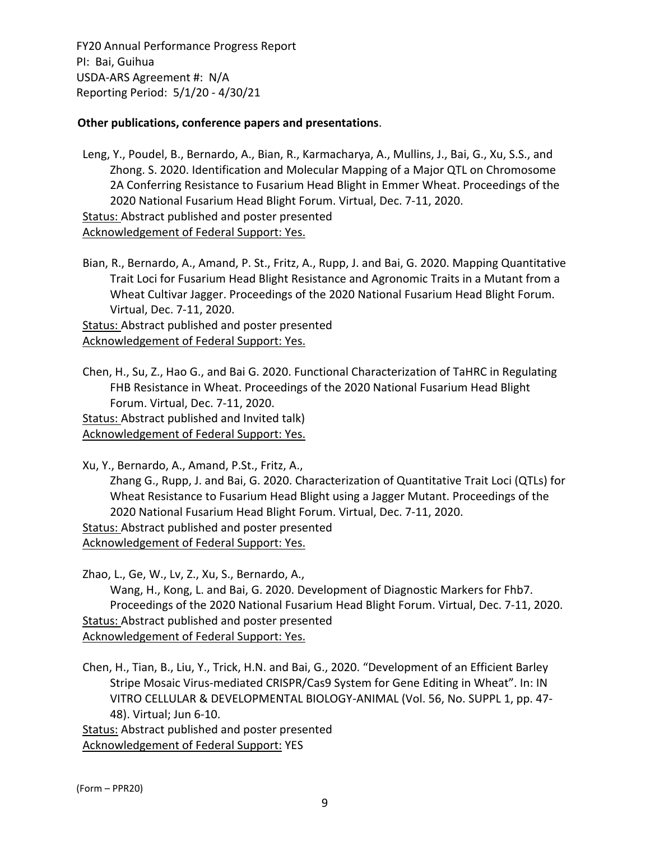## **Other publications, conference papers and presentations**.

Leng, Y., Poudel, B., Bernardo, A., Bian, R., Karmacharya, A., Mullins, J., Bai, G., Xu, S.S., and Zhong. S. 2020. Identification and Molecular Mapping of a Major QTL on Chromosome 2A Conferring Resistance to Fusarium Head Blight in Emmer Wheat. Proceedings of the 2020 National Fusarium Head Blight Forum. Virtual, Dec. 7‐11, 2020.

Status: Abstract published and poster presented

Acknowledgement of Federal Support: Yes.

Bian, R., Bernardo, A., Amand, P. St., Fritz, A., Rupp, J. and Bai, G. 2020. Mapping Quantitative Trait Loci for Fusarium Head Blight Resistance and Agronomic Traits in a Mutant from a Wheat Cultivar Jagger. Proceedings of the 2020 National Fusarium Head Blight Forum. Virtual, Dec. 7‐11, 2020.

Status: Abstract published and poster presented Acknowledgement of Federal Support: Yes.

Chen, H., Su, Z., Hao G., and Bai G. 2020. Functional Characterization of TaHRC in Regulating FHB Resistance in Wheat. Proceedings of the 2020 National Fusarium Head Blight Forum. Virtual, Dec. 7‐11, 2020.

Status: Abstract published and Invited talk) Acknowledgement of Federal Support: Yes.

Xu, Y., Bernardo, A., Amand, P.St., Fritz, A., Zhang G., Rupp, J. and Bai, G. 2020. Characterization of Quantitative Trait Loci (QTLs) for Wheat Resistance to Fusarium Head Blight using a Jagger Mutant. Proceedings of the 2020 National Fusarium Head Blight Forum. Virtual, Dec. 7‐11, 2020. Status: Abstract published and poster presented

Acknowledgement of Federal Support: Yes.

Zhao, L., Ge, W., Lv, Z., Xu, S., Bernardo, A.,

Wang, H., Kong, L. and Bai, G. 2020. Development of Diagnostic Markers for Fhb7. Proceedings of the 2020 National Fusarium Head Blight Forum. Virtual, Dec. 7‐11, 2020. Status: Abstract published and poster presented Acknowledgement of Federal Support: Yes.

Chen, H., Tian, B., Liu, Y., Trick, H.N. and Bai, G., 2020. "Development of an Efficient Barley Stripe Mosaic Virus‐mediated CRISPR/Cas9 System for Gene Editing in Wheat". In: IN VITRO CELLULAR & DEVELOPMENTAL BIOLOGY‐ANIMAL (Vol. 56, No. SUPPL 1, pp. 47‐ 48). Virtual; Jun 6‐10.

Status: Abstract published and poster presented Acknowledgement of Federal Support: YES